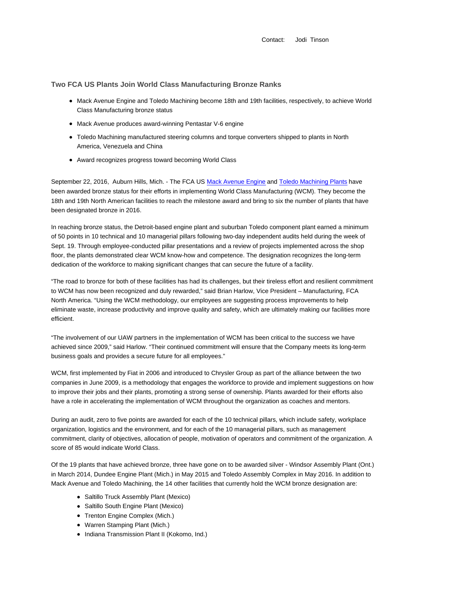Contact: Jodi Tinson

## **Two FCA US Plants Join World Class Manufacturing Bronze Ranks**

- Mack Avenue Engine and Toledo Machining become 18th and 19th facilities, respectively, to achieve World Class Manufacturing bronze status
- Mack Avenue produces award-winning Pentastar V-6 engine
- Toledo Machining manufactured steering columns and torque converters shipped to plants in North America, Venezuela and China
- Award recognizes progress toward becoming World Class

September 22, 2016, Auburn Hills, Mich. - The FCA US Mack Avenue Engine and Toledo Machining Plants have been awarded bronze status for their efforts in implementing World Class Manufacturing (WCM). They become the 18th and 19th North American facilities to reach the milestone award and bring to six the number of plants that have been designated bronze in 2016.

In reaching bronze status, the Detroit-based engine plant and suburban Toledo component plant earned a minimum of 50 points in 10 technical and 10 managerial pillars following two-day independent audits held during the week of Sept. 19. Through employee-conducted pillar presentations and a review of projects implemented across the shop floor, the plants demonstrated clear WCM know-how and competence. The designation recognizes the long-term dedication of the workforce to making significant changes that can secure the future of a facility.

"The road to bronze for both of these facilities has had its challenges, but their tireless effort and resilient commitment to WCM has now been recognized and duly rewarded," said Brian Harlow, Vice President – Manufacturing, FCA North America. "Using the WCM methodology, our employees are suggesting process improvements to help eliminate waste, increase productivity and improve quality and safety, which are ultimately making our facilities more efficient.

"The involvement of our UAW partners in the implementation of WCM has been critical to the success we have achieved since 2009," said Harlow. "Their continued commitment will ensure that the Company meets its long-term business goals and provides a secure future for all employees."

WCM, first implemented by Fiat in 2006 and introduced to Chrysler Group as part of the alliance between the two companies in June 2009, is a methodology that engages the workforce to provide and implement suggestions on how to improve their jobs and their plants, promoting a strong sense of ownership. Plants awarded for their efforts also have a role in accelerating the implementation of WCM throughout the organization as coaches and mentors.

During an audit, zero to five points are awarded for each of the 10 technical pillars, which include safety, workplace organization, logistics and the environment, and for each of the 10 managerial pillars, such as management commitment, clarity of objectives, allocation of people, motivation of operators and commitment of the organization. A score of 85 would indicate World Class.

Of the 19 plants that have achieved bronze, three have gone on to be awarded silver - Windsor Assembly Plant (Ont.) in March 2014, Dundee Engine Plant (Mich.) in May 2015 and Toledo Assembly Complex in May 2016. In addition to Mack Avenue and Toledo Machining, the 14 other facilities that currently hold the WCM bronze designation are:

- Saltillo Truck Assembly Plant (Mexico)
- Saltillo South Engine Plant (Mexico)
- Trenton Engine Complex (Mich.)
- Warren Stamping Plant (Mich.)
- Indiana Transmission Plant II (Kokomo, Ind.)